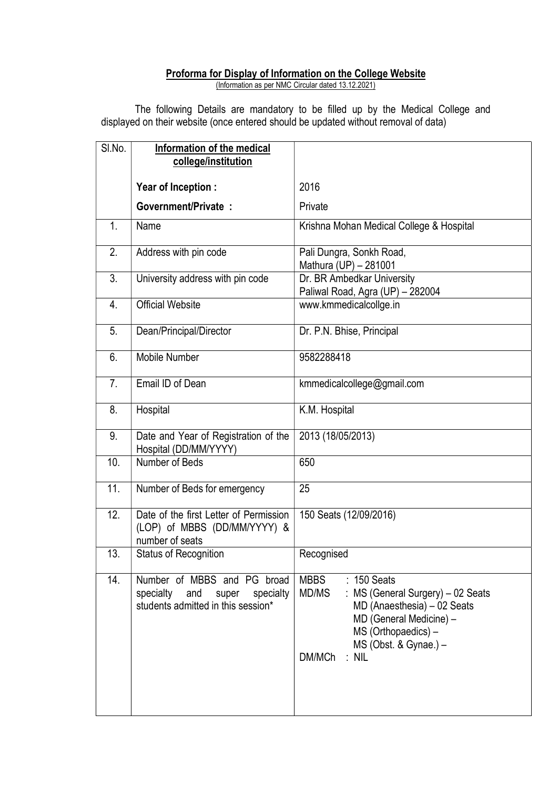## Proforma for Display of Information on the College Website

(Information as per NMC Circular dated 13.12.2021)

 The following Details are mandatory to be filled up by the Medical College and displayed on their website (once entered should be updated without removal of data)

| SI.No.            | Information of the medical<br>college/institution                                                           |                                                                                                                                                                                                       |  |
|-------------------|-------------------------------------------------------------------------------------------------------------|-------------------------------------------------------------------------------------------------------------------------------------------------------------------------------------------------------|--|
|                   | Year of Inception :                                                                                         | 2016                                                                                                                                                                                                  |  |
|                   | <b>Government/Private:</b>                                                                                  | Private                                                                                                                                                                                               |  |
| 1.                | Name                                                                                                        | Krishna Mohan Medical College & Hospital                                                                                                                                                              |  |
| 2.                | Address with pin code                                                                                       | Pali Dungra, Sonkh Road,<br>Mathura (UP) - 281001                                                                                                                                                     |  |
| 3.                | University address with pin code                                                                            | Dr. BR Ambedkar University<br>Paliwal Road, Agra (UP) - 282004                                                                                                                                        |  |
| 4.                | <b>Official Website</b>                                                                                     | www.kmmedicalcollge.in                                                                                                                                                                                |  |
| 5.                | Dean/Principal/Director                                                                                     | Dr. P.N. Bhise, Principal                                                                                                                                                                             |  |
| 6.                | Mobile Number                                                                                               | 9582288418                                                                                                                                                                                            |  |
| 7.                | Email ID of Dean                                                                                            | kmmedicalcollege@gmail.com                                                                                                                                                                            |  |
| 8.                | Hospital                                                                                                    | K.M. Hospital                                                                                                                                                                                         |  |
| 9.                | Date and Year of Registration of the<br>Hospital (DD/MM/YYYY)                                               | 2013 (18/05/2013)                                                                                                                                                                                     |  |
| 10.               | Number of Beds                                                                                              | 650                                                                                                                                                                                                   |  |
| 11.               | Number of Beds for emergency                                                                                | 25                                                                                                                                                                                                    |  |
| $\overline{12}$ . | Date of the first Letter of Permission<br>(LOP) of MBBS (DD/MM/YYYY) &<br>number of seats                   | 150 Seats (12/09/2016)                                                                                                                                                                                |  |
| 13.               | <b>Status of Recognition</b>                                                                                | Recognised                                                                                                                                                                                            |  |
| 14.               | Number of MBBS and PG broad<br>specialty<br>and<br>specialty<br>super<br>students admitted in this session* | <b>MBBS</b><br>: 150 Seats<br>MD/MS<br>MS (General Surgery) - 02 Seats<br>MD (Anaesthesia) – 02 Seats<br>MD (General Medicine) -<br>MS (Orthopaedics) -<br>MS (Obst. & Gynae.) -<br>$:$ NIL<br>DM/MCh |  |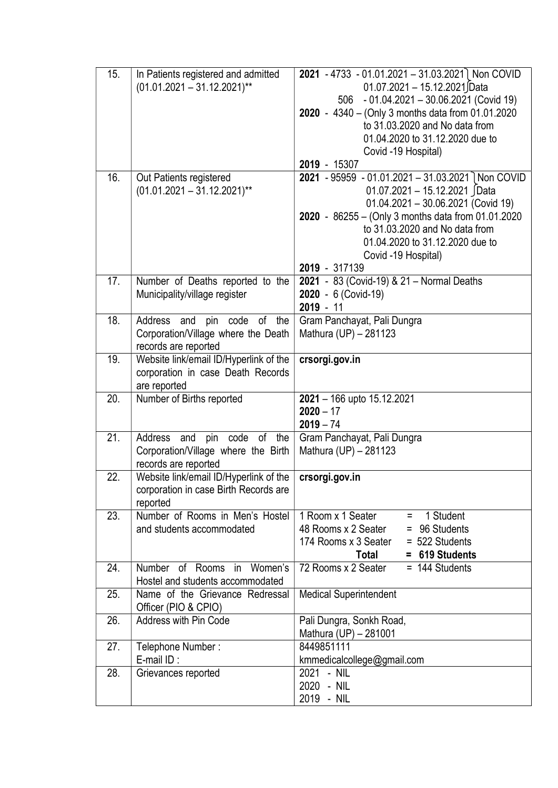| 15. | In Patients registered and admitted                                  | 2021 - 4733 - 01.01.2021 - 31.03.2021 Non COVID                                      |
|-----|----------------------------------------------------------------------|--------------------------------------------------------------------------------------|
|     | $(01.01.2021 - 31.12.2021)^{**}$                                     | 01.07.2021 - 15.12.2021 Data                                                         |
|     |                                                                      | 506 - 01.04.2021 - 30.06.2021 (Covid 19)                                             |
|     |                                                                      | 2020 - 4340 - (Only 3 months data from 01.01.2020                                    |
|     |                                                                      | to 31.03.2020 and No data from                                                       |
|     |                                                                      | 01.04.2020 to 31.12.2020 due to                                                      |
|     |                                                                      | Covid -19 Hospital)                                                                  |
|     |                                                                      | 2019 - 15307                                                                         |
| 16. | Out Patients registered                                              | 2021 - 95959 - 01.01.2021 - 31.03.2021 Non COVID                                     |
|     | $(01.01.2021 - 31.12.2021)$ **                                       | 01.07.2021 - 15.12.2021 JData                                                        |
|     |                                                                      | 01.04.2021 - 30.06.2021 (Covid 19)                                                   |
|     |                                                                      | 2020 - 86255 - (Only 3 months data from 01.01.2020<br>to 31.03.2020 and No data from |
|     |                                                                      | 01.04.2020 to 31.12.2020 due to                                                      |
|     |                                                                      | Covid -19 Hospital)                                                                  |
|     |                                                                      | 2019 - 317139                                                                        |
| 17. | Number of Deaths reported to the                                     | 2021 - 83 (Covid-19) & 21 - Normal Deaths                                            |
|     | Municipality/village register                                        | 2020 - 6 (Covid-19)                                                                  |
|     |                                                                      | $2019 - 11$                                                                          |
| 18. | Address and<br>pin code of the                                       | Gram Panchayat, Pali Dungra                                                          |
|     | Corporation/Village where the Death                                  | Mathura (UP) - 281123                                                                |
|     | records are reported                                                 |                                                                                      |
| 19. | Website link/email ID/Hyperlink of the                               | crsorgi.gov.in                                                                       |
|     | corporation in case Death Records                                    |                                                                                      |
|     | are reported                                                         |                                                                                      |
| 20. | Number of Births reported                                            | 2021 - 166 upto 15.12.2021                                                           |
|     |                                                                      | $2020 - 17$<br>$2019 - 74$                                                           |
| 21. | Address<br>and<br>code of the<br>pin                                 | Gram Panchayat, Pali Dungra                                                          |
|     | Corporation/Village where the Birth                                  | Mathura (UP) - 281123                                                                |
|     | records are reported                                                 |                                                                                      |
| 22. | Website link/email ID/Hyperlink of the                               | crsorgi.gov.in                                                                       |
|     | corporation in case Birth Records are                                |                                                                                      |
|     | reported                                                             |                                                                                      |
| 23. | Number of Rooms in Men's Hostel                                      | 1 Room x 1 Seater<br>1 Student<br>Ξ.                                                 |
|     | and students accommodated                                            | 48 Rooms x 2 Seater<br>96 Students<br>$=$                                            |
|     |                                                                      | 174 Rooms x 3 Seater<br>$= 522$ Students                                             |
|     |                                                                      | = 619 Students<br>Total                                                              |
| 24. | Number of Rooms<br>Women's<br>in<br>Hostel and students accommodated | 72 Rooms x 2 Seater<br>$= 144$ Students                                              |
| 25. | Name of the Grievance Redressal                                      | <b>Medical Superintendent</b>                                                        |
|     | Officer (PIO & CPIO)                                                 |                                                                                      |
| 26. | Address with Pin Code                                                | Pali Dungra, Sonkh Road,                                                             |
|     |                                                                      | Mathura (UP) - 281001                                                                |
| 27. | Telephone Number:                                                    | 8449851111                                                                           |
|     | E-mail ID:                                                           | kmmedicalcollege@gmail.com                                                           |
| 28. | Grievances reported                                                  | 2021 - NIL                                                                           |
|     |                                                                      | 2020 - NIL                                                                           |
|     |                                                                      | 2019 - NIL                                                                           |